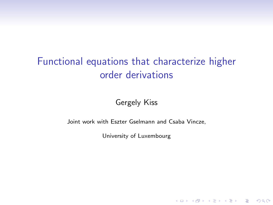# Functional equations that characterize higher order derivations

Gergely Kiss

Joint work with Eszter Gselmann and Csaba Vincze,

University of Luxembourg

K ロ ▶ K @ ▶ K 할 > K 할 > 1 할 > 1 이익어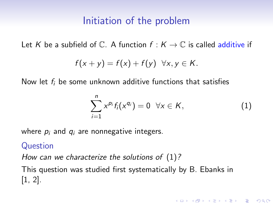# Initiation of the problem

Let K be a subfield of  $\mathbb C$ . A function  $f: K \to \mathbb C$  is called additive if

$$
f(x + y) = f(x) + f(y) \quad \forall x, y \in K.
$$

Now let  $f_i$  be some unknown additive functions that satisfies

<span id="page-1-0"></span>
$$
\sum_{i=1}^n x^{p_i} f_i(x^{q_i}) = 0 \quad \forall x \in K,
$$
 (1)

**KORK ERKER ADE YOUR** 

where  $p_i$  and  $q_i$  are nonnegative integers.

### Question

How can we characterize the solutions of  $(1)$ ?

This question was studied first systematically by B. Ebanks in [\[1,](#page-19-0) [2\]](#page-19-1).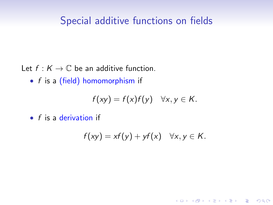# Special additive functions on fields

Let  $f : K \to \mathbb{C}$  be an additive function.

• f is a (field) homomorphism if

$$
f(xy) = f(x)f(y) \quad \forall x, y \in K.
$$

 $\bullet$  f is a derivation if

$$
f(xy) = xf(y) + yf(x) \quad \forall x, y \in K.
$$

**K ロ ▶ K @ ▶ K 할 X X 할 X → 할 X → 9 Q Q ^**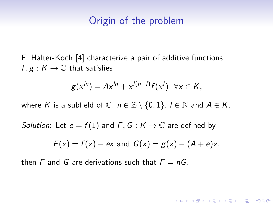### Origin of the problem

F. Halter-Koch [\[4\]](#page-19-2) characterize a pair of additive functions  $f, g: K \to \mathbb{C}$  that satisfies

$$
g(x^{ln}) = Ax^{ln} + x^{l(n-1)}f(x^{l}) \quad \forall x \in K,
$$

where K is a subfield of  $\mathbb{C}$ ,  $n \in \mathbb{Z} \setminus \{0,1\}$ ,  $l \in \mathbb{N}$  and  $A \in K$ .

Solution: Let  $e = f(1)$  and  $F, G: K \to \mathbb{C}$  are defined by

$$
F(x) = f(x) - ex
$$
 and  $G(x) = g(x) - (A + e)x$ ,

**KORK ERKER ADE YOUR** 

then F and G are derivations such that  $F = nG$ .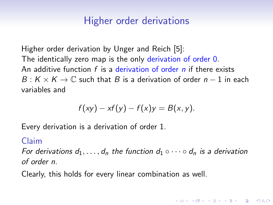# Higher order derivations

Higher order derivation by Unger and Reich [\[5\]](#page-19-3): The identically zero map is the only derivation of order 0. An additive function  $f$  is a derivation of order n if there exists  $B: K \times K \rightarrow \mathbb{C}$  such that B is a derivation of order  $n-1$  in each variables and

$$
f(xy) - xf(y) - f(x)y = B(x, y).
$$

Every derivation is a derivation of order 1.

### Claim

For derivations  $d_1, \ldots, d_n$  the function  $d_1 \circ \cdots \circ d_n$  is a derivation of order n.

4 D > 4 P + 4 B + 4 B + B + 9 Q O

Clearly, this holds for every linear combination as well.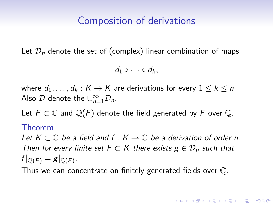# Composition of derivations

Let  $\mathcal{D}_n$  denote the set of (complex) linear combination of maps

 $d_1 \circ \cdots \circ d_k$ 

where  $d_1, \ldots, d_k : K \to K$  are derivations for every  $1 \leq k \leq n$ . Also  $\mathcal D$  denote the  $\cup_{n=1}^{\infty} \mathcal D_n$ .

Let  $F \subset \mathbb{C}$  and  $\mathbb{Q}(F)$  denote the field generated by F over  $\mathbb{Q}$ .

#### Theorem

Let  $K \subset \mathbb{C}$  be a field and  $f : K \to \mathbb{C}$  be a derivation of order n. Then for every finite set  $F \subset K$  there exists  $g \in \mathcal{D}_n$  such that  $f|_{\mathbb{Q}(F)}=g|_{\mathbb{Q}(F)}$ .

Thus we can concentrate on finitely generated fields over Q.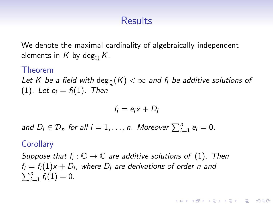# **Results**

We denote the maximal cardinality of algebraically independent elements in K by deg<sub> $\Omega$ </sub> K.

#### Theorem

Let K be a field with  $\deg_{\mathbb{O}}(K) < \infty$  and  $f_i$  be additive solutions of [\(1\)](#page-1-0). Let  $e_i = f_i(1)$ . Then

$$
f_i = e_i x + D_i
$$

and  $D_i \in \mathcal{D}_n$  for all  $i = 1, \ldots, n$ . Moreover  $\sum_{i=1}^n e_i = 0$ .

### **Corollary**

Suppose that  $f_i: \mathbb{C} \to \mathbb{C}$  are additive solutions of  $(1)$ . Then  $f_i = f_i(1) \mathrm{\mathsf{x}} + D_i$ , where  $D_i$  are derivations of order  $n$  and  $\sum_{i=1}^{n} f_i(1) = 0.$ 

**KORKAR KERKER EL VOLO**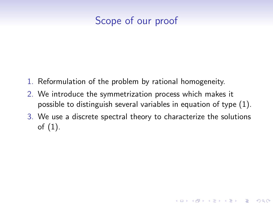# Scope of our proof

- 1. Reformulation of the problem by rational homogeneity.
- 2. We introduce the symmetrization process which makes it possible to distinguish several variables in equation of type [\(1\)](#page-1-0).
- 3. We use a discrete spectral theory to characterize the solutions of [\(1\)](#page-1-0).

**KORK ERKER ADE YOUR**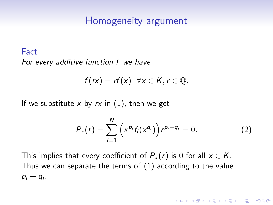### Homogeneity argument

### Fact For every additive function f we have

$$
f(rx) = rf(x) \quad \forall x \in K, r \in \mathbb{Q}.
$$

If we substitute x by  $rx$  in [\(1\)](#page-1-0), then we get

$$
P_{x}(r) = \sum_{i=1}^{N} \left( x^{p_i} f_i(x^{q_i}) \right) r^{p_i + q_i} = 0.
$$
 (2)

**KORK ERKER ADE YOUR** 

This implies that every coefficient of  $P_x(r)$  is 0 for all  $x \in K$ . Thus we can separate the terms of [\(1\)](#page-1-0) according to the value  $p_i + q_i$ .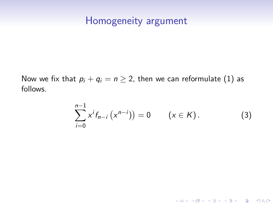### Homogeneity argument

Now we fix that  $p_i + q_i = n \geq 2$ , then we can reformulate [\(1\)](#page-1-0) as follows.

<span id="page-9-0"></span>
$$
\sum_{i=0}^{n-1} x^i f_{n-i} (x^{n-i}) = 0 \qquad (x \in K).
$$
 (3)

K ロ ▶ K @ ▶ K 할 ▶ K 할 ▶ | 할 | ⊙Q @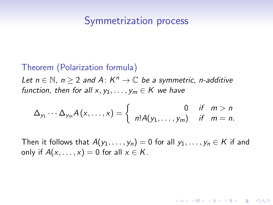### Symmetrization process

#### Theorem (Polarization formula)

Let  $n \in \mathbb{N}$ ,  $n \ge 2$  and A:  $K^n \to \mathbb{C}$  be a symmetric, n-additive function, then for all  $x, y_1, \ldots, y_m \in K$  we have

$$
\Delta_{y_1}\cdots\Delta_{y_m}A(x,\ldots,x)=\begin{cases} 0 & \text{if } m>n\\ n!A(y_1,\ldots,y_m) & \text{if } m=n.\end{cases}
$$

Then it follows that  $A(y_1, \ldots, y_n) = 0$  for all  $y_1, \ldots, y_n \in K$  if and only if  $A(x, \ldots, x) = 0$  for all  $x \in K$ .

**KORK ERKER ADE YOUR**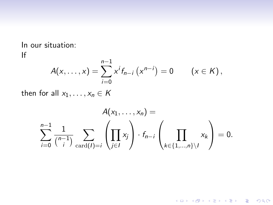In our situation: If

$$
A(x,\ldots,x)=\sum_{i=0}^{n-1}x^{i}f_{n-i}(x^{n-i})=0 \qquad (x\in K),
$$

then for all  $x_1, \ldots, x_n \in K$ 

$$
A(x_1,\ldots,x_n) =
$$
  

$$
\sum_{i=0}^{n-1} \frac{1}{\binom{n-1}{i}} \sum_{\text{card}(I)=i} \left(\prod_{j\in I} x_j\right) \cdot f_{n-i} \left(\prod_{k\in\{1,\ldots,n\}\setminus I} x_k\right) = 0.
$$

KID KAR KE KE KE A BI YA GI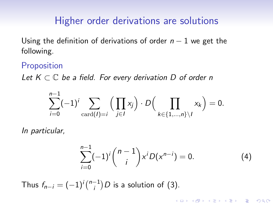# Higher order derivations are solutions

Using the definition of derivations of order  $n - 1$  we get the following.

### **Proposition**

Let  $K \subset \mathbb{C}$  be a field. For every derivation D of order n

$$
\sum_{i=0}^{n-1}(-1)^i\sum_{\mathrm{card}(I)=i}\Big(\prod_{j\in I}x_j\Big)\cdot D\Big(\prod_{k\in\{1,\ldots,n\}\setminus I}x_k\Big)=0.
$$

In particular,

$$
\sum_{i=0}^{n-1}(-1)^{i}\binom{n-1}{i}x^{i}D(x^{n-i})=0.
$$
 (4)

**K ロ ▶ K @ ▶ K 할 X X 할 X → 할 X → 9 Q Q ^** 

Thus  $f_{n-i}=(-1)^i\binom{n-1}{i}$  $\binom{-1}{i}$ D is a solution of [\(3\)](#page-9-0).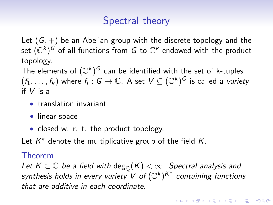# Spectral theory

Let  $(G,+)$  be an Abelian group with the discrete topology and the set  $({\mathbb C}^k)^G$  of all functions from  $G$  to  ${\mathbb C}^k$  endowed with the product topology.

The elements of  $(\mathbb{C}^k)^G$  can be identified with the set of k-tuples  $(f_1,\ldots,f_k)$  where  $f_i:G\to\mathbb{C}.$  A set  $V\subseteq(\mathbb{C}^k)^G$  is called a *variety* if V is a

- translation invariant
- linear space
- closed w. r. t. the product topology.

Let  $K^*$  denote the multiplicative group of the field  $K$ .

### Theorem

Let  $K \subset \mathbb{C}$  be a field with  $\deg_{\mathbb{O}}(K) < \infty$ . Spectral analysis and synthesis holds in every variety V of  $(\mathbb{C}^k)^{K^*}$  containing functions that are additive in each coordinate.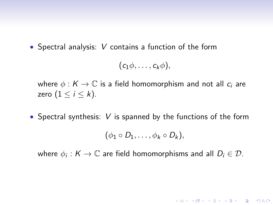• Spectral analysis: V contains a function of the form

$$
(c_1\phi,\ldots,c_k\phi),
$$

where  $\phi : K \to \mathbb{C}$  is a field homomorphism and not all  $c_i$  are zero  $(1 \leq i \leq k)$ .

• Spectral synthesis:  $V$  is spanned by the functions of the form

$$
(\phi_1\circ D_1,\ldots,\phi_k\circ D_k),
$$

where  $\phi_i: K \to \mathbb{C}$  are field homomorphisms and all  $D_i \in \mathcal{D}$ .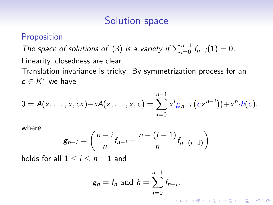# Solution space

### **Proposition**

The space of solutions of [\(3\)](#page-9-0) is a variety if  $\sum_{i=0}^{n-1} f_{n-i}(1) = 0$ . Linearity, closedness are clear.

Translation invariance is tricky: By symmetrization process for an  $c \in K^*$  we have

$$
0 = A(x, ..., x, cx) - xA(x, ..., x, c) = \sum_{i=0}^{n-1} x^{i} g_{n-i} (cx^{n-i}) + x^{n} h(c),
$$

where

$$
g_{n-i}=\left(\frac{n-i}{n}f_{n-i}-\frac{n-(i-1)}{n}f_{n-(i-1)}\right)
$$

holds for all  $1 \le i \le n-1$  and

$$
g_n = f_n \text{ and } h = \sum_{i=0}^{n-1} f_{n-i}.
$$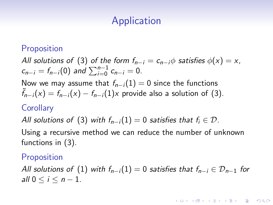# **Application**

### Proposition

All solutions of [\(3\)](#page-9-0) of the form  $f_{n-i} = c_{n-i}\phi$  satisfies  $\phi(x) = x$ ,  $c_{n-i} = f_{n-i}(0)$  and  $\sum_{i=0}^{n-1} c_{n-i} = 0$ .

Now we may assume that  $f_{n-i}(1) = 0$  since the functions  $\tilde{f}_{n-i}(x) = f_{n-i}(x) - f_{n-i}(1)x$  provide also a solution of [\(3\)](#page-9-0).

### **Corollary**

All solutions of [\(3\)](#page-9-0) with  $f_{n-i}(1) = 0$  satisfies that  $f_i \in \mathcal{D}$ .

Using a recursive method we can reduce the number of unknown functions in [\(3\)](#page-9-0).

### **Proposition**

All solutions of [\(1\)](#page-1-0) with  $f_{n-i}(1) = 0$  satisfies that  $f_{n-i} \in \mathcal{D}_{n-1}$  for all  $0 < i < n-1$ .

**KORK ERKER ADE YOUR**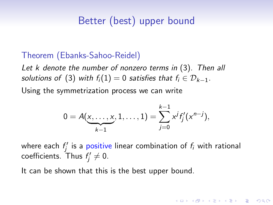# Better (best) upper bound

### Theorem (Ebanks-Sahoo-Reidel)

Let k denote the number of nonzero terms in [\(3\)](#page-9-0). Then all solutions of [\(3\)](#page-9-0) with  $f_i(1) = 0$  satisfies that  $f_i \in \mathcal{D}_{k-1}$ .

Using the symmetrization process we can write

$$
0 = A(\underbrace{x,\ldots,x}_{k-1},1,\ldots,1) = \sum_{j=0}^{k-1} x^j f'_j(x^{n-j}),
$$

where each  $f_j^\prime$  is a positive linear combination of  $f_i$  with rational coefficients. Thus  $f'_j \neq 0$ .

**KORKAR KERKER EL VOLO** 

It can be shown that this is the best upper bound.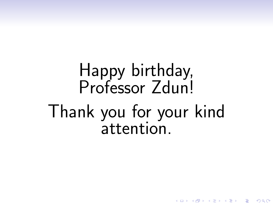# Happy birthday, Professor Zdun! Thank you for your kind attention.

 $QQ$